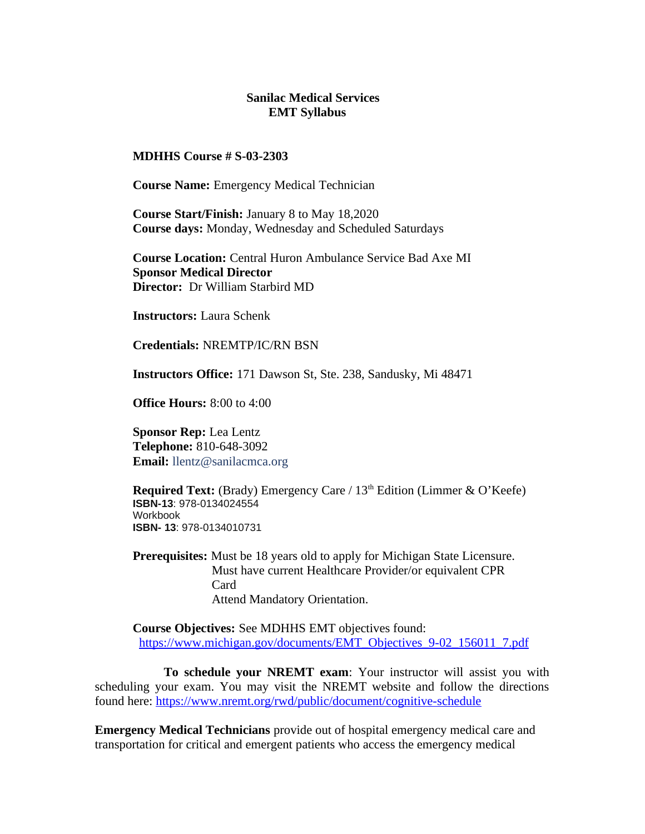#### **Sanilac Medical Services EMT Syllabus**

**MDHHS Course # S-03-2303**

**Course Name:** Emergency Medical Technician

**Course Start/Finish:** January 8 to May 18,2020 **Course days:** Monday, Wednesday and Scheduled Saturdays

**Course Location:** Central Huron Ambulance Service Bad Axe MI **Sponsor Medical Director Director:** Dr William Starbird MD

**Instructors:** Laura Schenk

**Credentials:** NREMTP/IC/RN BSN

**Instructors Office:** 171 Dawson St, Ste. 238, Sandusky, Mi 48471

**Office Hours:** 8:00 to 4:00

**Sponsor Rep:** Lea Lentz **Telephone:** 810-648-3092 **Email:** llentz@sanilacmca.org

**Required Text:** (Brady) Emergency Care / 13<sup>th</sup> Edition (Limmer & O'Keefe) **ISBN-13**: 978-0134024554 **Workhook ISBN- 13**: 978-0134010731

**Prerequisites:** Must be 18 years old to apply for Michigan State Licensure. Must have current Healthcare Provider/or equivalent CPR Card Attend Mandatory Orientation.

**Course Objectives:** See MDHHS EMT objectives found: https://www.michigan.gov/documents/EMT\_Objectives\_9-02\_156011\_7.pdf

 **To schedule your NREMT exam**: Your instructor will assist you with scheduling your exam. You may visit the NREMT website and follow the directions found here: https://www.nremt.org/rwd/public/document/cognitive-schedule

**Emergency Medical Technicians** provide out of hospital emergency medical care and transportation for critical and emergent patients who access the emergency medical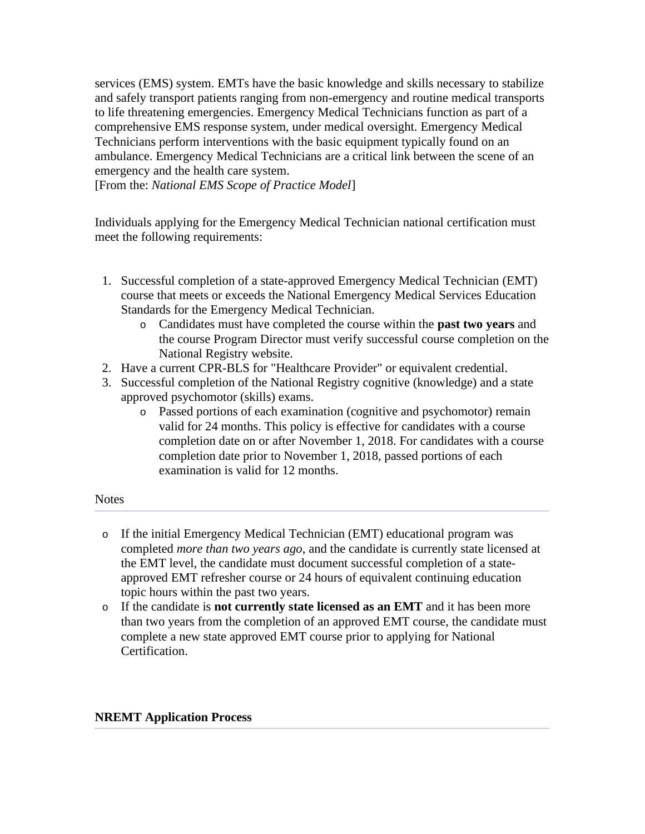services (EMS) system. EMTs have the basic knowledge and skills necessary to stabilize and safely transport patients ranging from non-emergency and routine medical transports to life threatening emergencies. Emergency Medical Technicians function as part of a comprehensive EMS response system, under medical oversight. Emergency Medical Technicians perform interventions with the basic equipment typically found on an ambulance. Emergency Medical Technicians are a critical link between the scene of an emergency and the health care system.

[From the: *National EMS Scope of Practice Model*]

Individuals applying for the Emergency Medical Technician national certification must meet the following requirements:

- 1. Successful completion of a state-approved Emergency Medical Technician (EMT) course that meets or exceeds the National Emergency Medical Services Education Standards for the Emergency Medical Technician.
	- o Candidates must have completed the course within the **past two years** and the course Program Director must verify successful course completion on the National Registry website.
- 2. Have a current CPR-BLS for "Healthcare Provider" or equivalent credential.
- 3. Successful completion of the National Registry cognitive (knowledge) and a state approved psychomotor (skills) exams.
	- o Passed portions of each examination (cognitive and psychomotor) remain valid for 24 months. This policy is effective for candidates with a course completion date on or after November 1, 2018. For candidates with a course completion date prior to November 1, 2018, passed portions of each examination is valid for 12 months.

**Notes** 

- o If the initial Emergency Medical Technician (EMT) educational program was completed *more than two years ago*, and the candidate is currently state licensed at the EMT level, the candidate must document successful completion of a stateapproved EMT refresher course or 24 hours of equivalent continuing education topic hours within the past two years.
- o If the candidate is **not currently state licensed as an EMT** and it has been more than two years from the completion of an approved EMT course, the candidate must complete a new state approved EMT course prior to applying for National Certification.

#### **NREMT Application Process**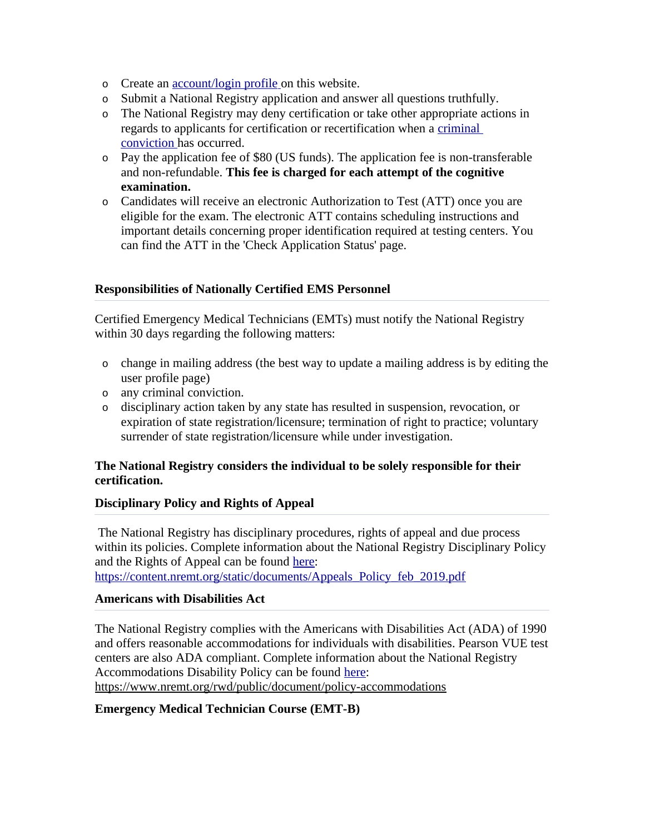- o Create an account/login profile on this website.
- o Submit a National Registry application and answer all questions truthfully.
- o The National Registry may deny certification or take other appropriate actions in regards to applicants for certification or recertification when a criminal conviction has occurred.
- o Pay the application fee of \$80 (US funds). The application fee is non-transferable and non-refundable. **This fee is charged for each attempt of the cognitive examination.**
- o Candidates will receive an electronic Authorization to Test (ATT) once you are eligible for the exam. The electronic ATT contains scheduling instructions and important details concerning proper identification required at testing centers. You can find the ATT in the 'Check Application Status' page.

# **Responsibilities of Nationally Certified EMS Personnel**

Certified Emergency Medical Technicians (EMTs) must notify the National Registry within 30 days regarding the following matters:

- o change in mailing address (the best way to update a mailing address is by editing the user profile page)
- o any criminal conviction.
- o disciplinary action taken by any state has resulted in suspension, revocation, or expiration of state registration/licensure; termination of right to practice; voluntary surrender of state registration/licensure while under investigation.

# **The National Registry considers the individual to be solely responsible for their certification.**

#### **Disciplinary Policy and Rights of Appeal**

The National Registry has disciplinary procedures, rights of appeal and due process within its policies. Complete information about the National Registry Disciplinary Policy and the Rights of Appeal can be found here: https://content.nremt.org/static/documents/Appeals\_Policy\_feb\_2019.pdf

#### **Americans with Disabilities Act**

The National Registry complies with the Americans with Disabilities Act (ADA) of 1990 and offers reasonable accommodations for individuals with disabilities. Pearson VUE test centers are also ADA compliant. Complete information about the National Registry Accommodations Disability Policy can be found here: https://www.nremt.org/rwd/public/document/policy-accommodations

# **Emergency Medical Technician Course (EMT-B)**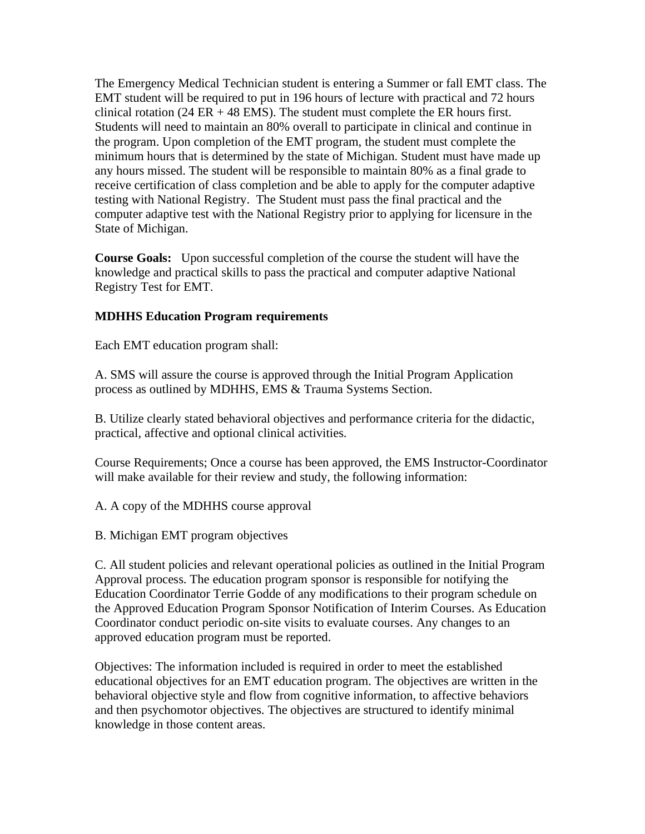The Emergency Medical Technician student is entering a Summer or fall EMT class. The EMT student will be required to put in 196 hours of lecture with practical and 72 hours clinical rotation (24 ER  $+$  48 EMS). The student must complete the ER hours first. Students will need to maintain an 80% overall to participate in clinical and continue in the program. Upon completion of the EMT program, the student must complete the minimum hours that is determined by the state of Michigan. Student must have made up any hours missed. The student will be responsible to maintain 80% as a final grade to receive certification of class completion and be able to apply for the computer adaptive testing with National Registry. The Student must pass the final practical and the computer adaptive test with the National Registry prior to applying for licensure in the State of Michigan.

**Course Goals:** Upon successful completion of the course the student will have the knowledge and practical skills to pass the practical and computer adaptive National Registry Test for EMT.

#### **MDHHS Education Program requirements**

Each EMT education program shall:

A. SMS will assure the course is approved through the Initial Program Application process as outlined by MDHHS, EMS & Trauma Systems Section.

B. Utilize clearly stated behavioral objectives and performance criteria for the didactic, practical, affective and optional clinical activities.

Course Requirements; Once a course has been approved, the EMS Instructor-Coordinator will make available for their review and study, the following information:

A. A copy of the MDHHS course approval

B. Michigan EMT program objectives

C. All student policies and relevant operational policies as outlined in the Initial Program Approval process. The education program sponsor is responsible for notifying the Education Coordinator Terrie Godde of any modifications to their program schedule on the Approved Education Program Sponsor Notification of Interim Courses. As Education Coordinator conduct periodic on-site visits to evaluate courses. Any changes to an approved education program must be reported.

Objectives: The information included is required in order to meet the established educational objectives for an EMT education program. The objectives are written in the behavioral objective style and flow from cognitive information, to affective behaviors and then psychomotor objectives. The objectives are structured to identify minimal knowledge in those content areas.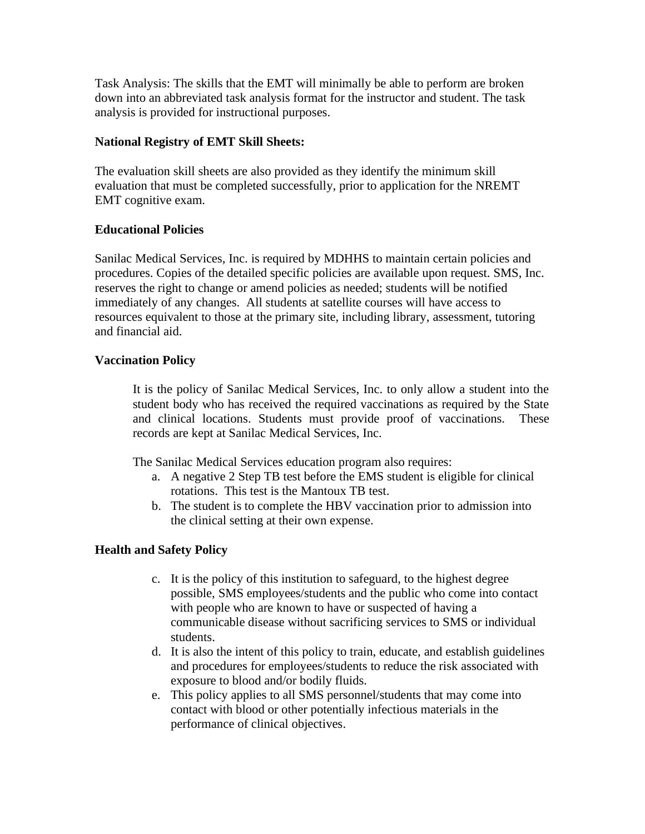Task Analysis: The skills that the EMT will minimally be able to perform are broken down into an abbreviated task analysis format for the instructor and student. The task analysis is provided for instructional purposes.

#### **National Registry of EMT Skill Sheets:**

The evaluation skill sheets are also provided as they identify the minimum skill evaluation that must be completed successfully, prior to application for the NREMT EMT cognitive exam.

#### **Educational Policies**

Sanilac Medical Services, Inc. is required by MDHHS to maintain certain policies and procedures. Copies of the detailed specific policies are available upon request. SMS, Inc. reserves the right to change or amend policies as needed; students will be notified immediately of any changes. All students at satellite courses will have access to resources equivalent to those at the primary site, including library, assessment, tutoring and financial aid.

#### **Vaccination Policy**

It is the policy of Sanilac Medical Services, Inc. to only allow a student into the student body who has received the required vaccinations as required by the State and clinical locations. Students must provide proof of vaccinations. These records are kept at Sanilac Medical Services, Inc.

The Sanilac Medical Services education program also requires:

- a. A negative 2 Step TB test before the EMS student is eligible for clinical rotations. This test is the Mantoux TB test.
- b. The student is to complete the HBV vaccination prior to admission into the clinical setting at their own expense.

# **Health and Safety Policy**

- c. It is the policy of this institution to safeguard, to the highest degree possible, SMS employees/students and the public who come into contact with people who are known to have or suspected of having a communicable disease without sacrificing services to SMS or individual students.
- d. It is also the intent of this policy to train, educate, and establish guidelines and procedures for employees/students to reduce the risk associated with exposure to blood and/or bodily fluids.
- e. This policy applies to all SMS personnel/students that may come into contact with blood or other potentially infectious materials in the performance of clinical objectives.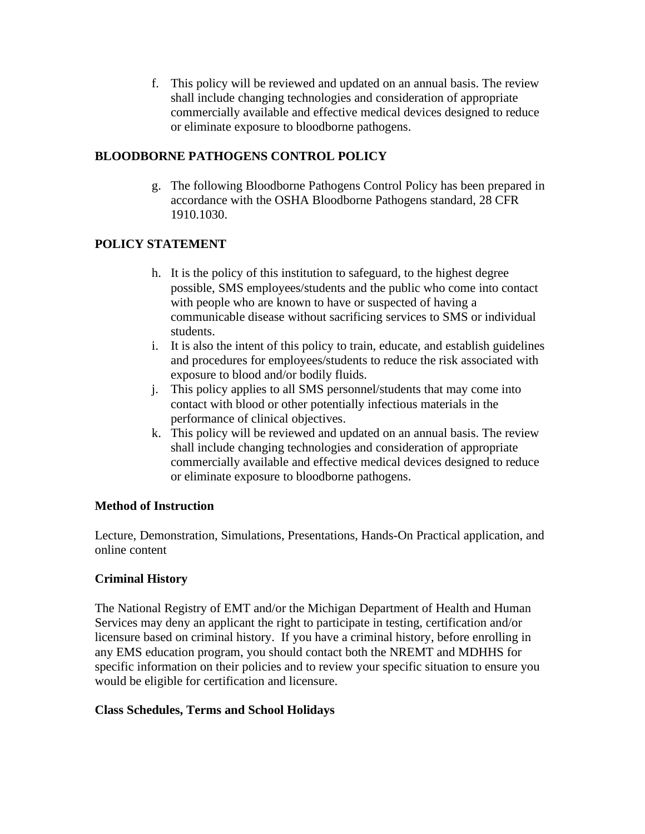f. This policy will be reviewed and updated on an annual basis. The review shall include changing technologies and consideration of appropriate commercially available and effective medical devices designed to reduce or eliminate exposure to bloodborne pathogens.

# **BLOODBORNE PATHOGENS CONTROL POLICY**

g. The following Bloodborne Pathogens Control Policy has been prepared in accordance with the OSHA Bloodborne Pathogens standard, 28 CFR 1910.1030.

# **POLICY STATEMENT**

- h. It is the policy of this institution to safeguard, to the highest degree possible, SMS employees/students and the public who come into contact with people who are known to have or suspected of having a communicable disease without sacrificing services to SMS or individual students.
- i. It is also the intent of this policy to train, educate, and establish guidelines and procedures for employees/students to reduce the risk associated with exposure to blood and/or bodily fluids.
- j. This policy applies to all SMS personnel/students that may come into contact with blood or other potentially infectious materials in the performance of clinical objectives.
- k. This policy will be reviewed and updated on an annual basis. The review shall include changing technologies and consideration of appropriate commercially available and effective medical devices designed to reduce or eliminate exposure to bloodborne pathogens.

# **Method of Instruction**

Lecture, Demonstration, Simulations, Presentations, Hands-On Practical application, and online content

# **Criminal History**

The National Registry of EMT and/or the Michigan Department of Health and Human Services may deny an applicant the right to participate in testing, certification and/or licensure based on criminal history. If you have a criminal history, before enrolling in any EMS education program, you should contact both the NREMT and MDHHS for specific information on their policies and to review your specific situation to ensure you would be eligible for certification and licensure.

# **Class Schedules, Terms and School Holidays**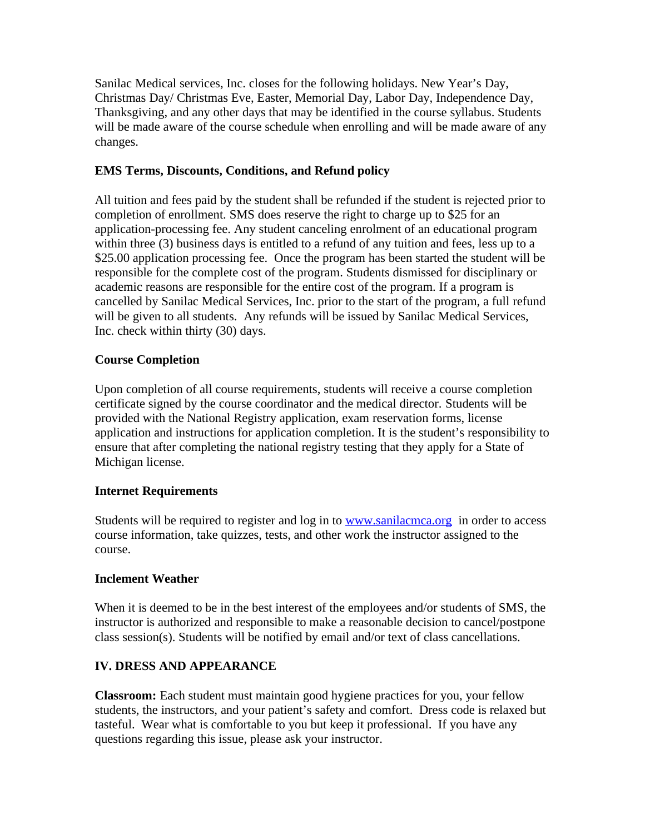Sanilac Medical services, Inc. closes for the following holidays. New Year's Day, Christmas Day/ Christmas Eve, Easter, Memorial Day, Labor Day, Independence Day, Thanksgiving, and any other days that may be identified in the course syllabus. Students will be made aware of the course schedule when enrolling and will be made aware of any changes.

# **EMS Terms, Discounts, Conditions, and Refund policy**

All tuition and fees paid by the student shall be refunded if the student is rejected prior to completion of enrollment. SMS does reserve the right to charge up to \$25 for an application-processing fee. Any student canceling enrolment of an educational program within three (3) business days is entitled to a refund of any tuition and fees, less up to a \$25.00 application processing fee. Once the program has been started the student will be responsible for the complete cost of the program. Students dismissed for disciplinary or academic reasons are responsible for the entire cost of the program. If a program is cancelled by Sanilac Medical Services, Inc. prior to the start of the program, a full refund will be given to all students. Any refunds will be issued by Sanilac Medical Services, Inc. check within thirty (30) days.

# **Course Completion**

Upon completion of all course requirements, students will receive a course completion certificate signed by the course coordinator and the medical director. Students will be provided with the National Registry application, exam reservation forms, license application and instructions for application completion. It is the student's responsibility to ensure that after completing the national registry testing that they apply for a State of Michigan license.

# **Internet Requirements**

Students will be required to register and log in to **www.sanilacmca.org** in order to access course information, take quizzes, tests, and other work the instructor assigned to the course.

# **Inclement Weather**

When it is deemed to be in the best interest of the employees and/or students of SMS, the instructor is authorized and responsible to make a reasonable decision to cancel/postpone class session(s). Students will be notified by email and/or text of class cancellations.

# **IV. DRESS AND APPEARANCE**

**Classroom:** Each student must maintain good hygiene practices for you, your fellow students, the instructors, and your patient's safety and comfort. Dress code is relaxed but tasteful. Wear what is comfortable to you but keep it professional. If you have any questions regarding this issue, please ask your instructor.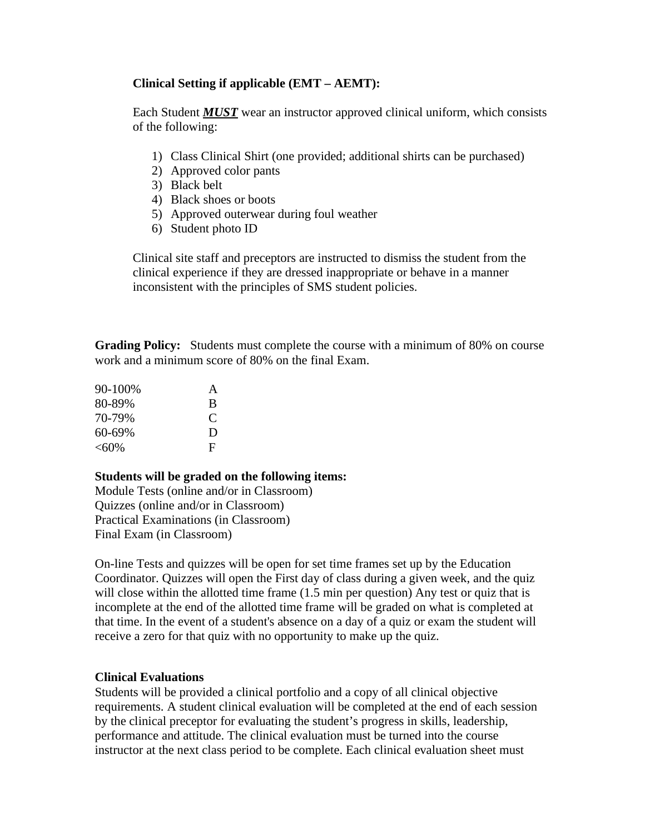# **Clinical Setting if applicable (EMT – AEMT):**

Each Student *MUST* wear an instructor approved clinical uniform, which consists of the following:

- 1) Class Clinical Shirt (one provided; additional shirts can be purchased)
- 2) Approved color pants
- 3) Black belt
- 4) Black shoes or boots
- 5) Approved outerwear during foul weather
- 6) Student photo ID

Clinical site staff and preceptors are instructed to dismiss the student from the clinical experience if they are dressed inappropriate or behave in a manner inconsistent with the principles of SMS student policies.

**Grading Policy:** Students must complete the course with a minimum of 80% on course work and a minimum score of 80% on the final Exam.

| 90-100% | $\mathsf{A}$ |
|---------|--------------|
| 80-89%  | B            |
| 70-79%  | C            |
| 60-69%  | D            |
| $<$ 60% | F            |

# **Students will be graded on the following items:**

Module Tests (online and/or in Classroom) Quizzes (online and/or in Classroom) Practical Examinations (in Classroom) Final Exam (in Classroom)

On-line Tests and quizzes will be open for set time frames set up by the Education Coordinator. Quizzes will open the First day of class during a given week, and the quiz will close within the allotted time frame (1.5 min per question) Any test or quiz that is incomplete at the end of the allotted time frame will be graded on what is completed at that time. In the event of a student's absence on a day of a quiz or exam the student will receive a zero for that quiz with no opportunity to make up the quiz.

# **Clinical Evaluations**

Students will be provided a clinical portfolio and a copy of all clinical objective requirements. A student clinical evaluation will be completed at the end of each session by the clinical preceptor for evaluating the student's progress in skills, leadership, performance and attitude. The clinical evaluation must be turned into the course instructor at the next class period to be complete. Each clinical evaluation sheet must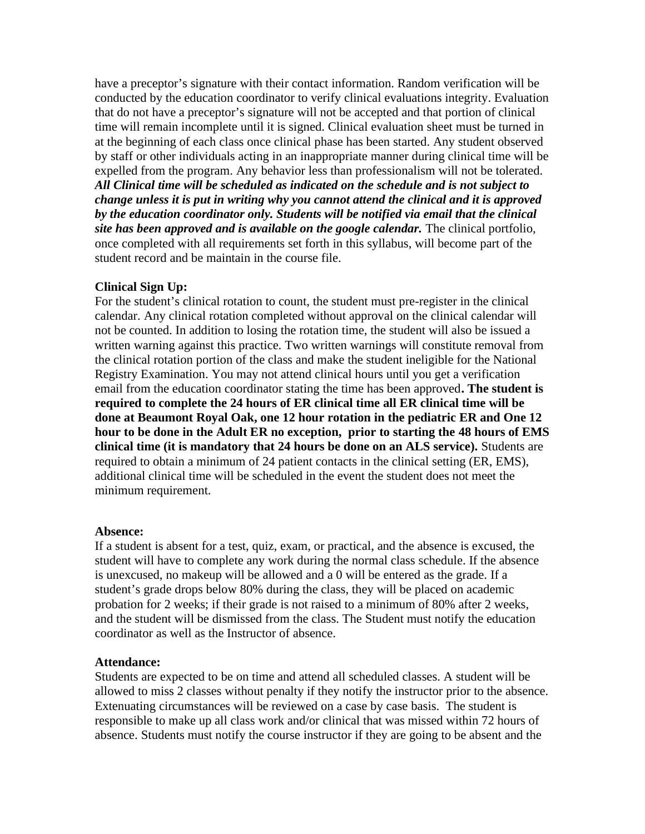have a preceptor's signature with their contact information. Random verification will be conducted by the education coordinator to verify clinical evaluations integrity. Evaluation that do not have a preceptor's signature will not be accepted and that portion of clinical time will remain incomplete until it is signed. Clinical evaluation sheet must be turned in at the beginning of each class once clinical phase has been started. Any student observed by staff or other individuals acting in an inappropriate manner during clinical time will be expelled from the program. Any behavior less than professionalism will not be tolerated. *All Clinical time will be scheduled as indicated on the schedule and is not subject to change unless it is put in writing why you cannot attend the clinical and it is approved by the education coordinator only. Students will be notified via email that the clinical*  site has been approved and is available on the google calendar. The clinical portfolio, once completed with all requirements set forth in this syllabus, will become part of the student record and be maintain in the course file.

#### **Clinical Sign Up:**

For the student's clinical rotation to count, the student must pre-register in the clinical calendar. Any clinical rotation completed without approval on the clinical calendar will not be counted. In addition to losing the rotation time, the student will also be issued a written warning against this practice. Two written warnings will constitute removal from the clinical rotation portion of the class and make the student ineligible for the National Registry Examination. You may not attend clinical hours until you get a verification email from the education coordinator stating the time has been approved**. The student is required to complete the 24 hours of ER clinical time all ER clinical time will be done at Beaumont Royal Oak, one 12 hour rotation in the pediatric ER and One 12 hour to be done in the Adult ER no exception, prior to starting the 48 hours of EMS clinical time (it is mandatory that 24 hours be done on an ALS service).** Students are required to obtain a minimum of 24 patient contacts in the clinical setting (ER, EMS), additional clinical time will be scheduled in the event the student does not meet the minimum requirement.

#### **Absence:**

If a student is absent for a test, quiz, exam, or practical, and the absence is excused, the student will have to complete any work during the normal class schedule. If the absence is unexcused, no makeup will be allowed and a 0 will be entered as the grade. If a student's grade drops below 80% during the class, they will be placed on academic probation for 2 weeks; if their grade is not raised to a minimum of 80% after 2 weeks, and the student will be dismissed from the class. The Student must notify the education coordinator as well as the Instructor of absence.

#### **Attendance:**

Students are expected to be on time and attend all scheduled classes. A student will be allowed to miss 2 classes without penalty if they notify the instructor prior to the absence. Extenuating circumstances will be reviewed on a case by case basis. The student is responsible to make up all class work and/or clinical that was missed within 72 hours of absence. Students must notify the course instructor if they are going to be absent and the